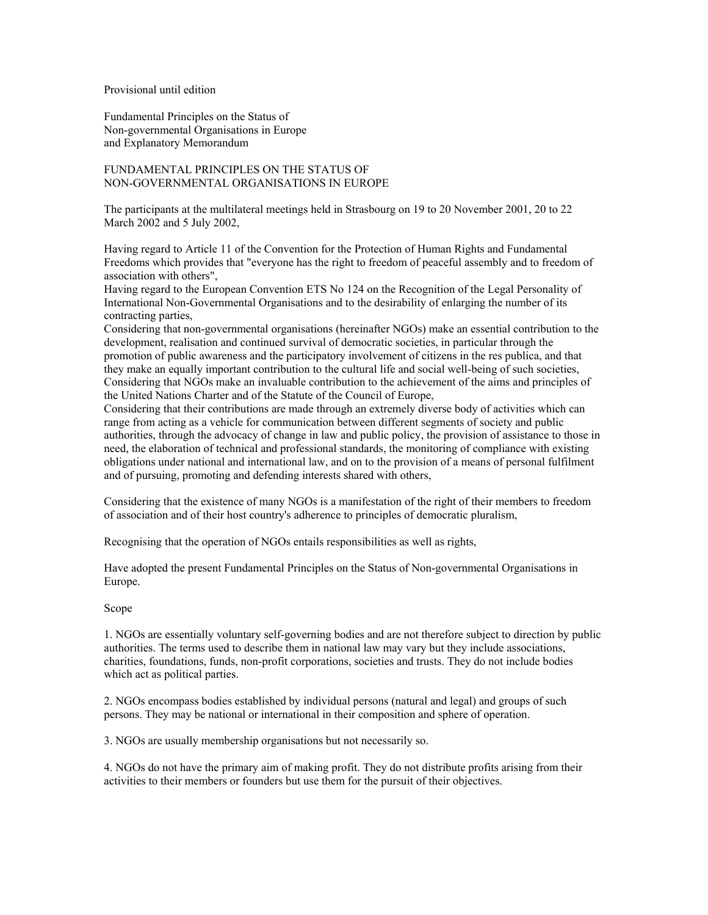## Provisional until edition

Fundamental Principles on the Status of Non-governmental Organisations in Europe and Explanatory Memorandum

# FUNDAMENTAL PRINCIPLES ON THE STATUS OF NON-GOVERNMENTAL ORGANISATIONS IN EUROPE

The participants at the multilateral meetings held in Strasbourg on 19 to 20 November 2001, 20 to 22 March 2002 and 5 July 2002,

Having regard to Article 11 of the Convention for the Protection of Human Rights and Fundamental Freedoms which provides that "everyone has the right to freedom of peaceful assembly and to freedom of association with others",

Having regard to the European Convention ETS No 124 on the Recognition of the Legal Personality of International Non-Governmental Organisations and to the desirability of enlarging the number of its contracting parties,

Considering that non-governmental organisations (hereinafter NGOs) make an essential contribution to the development, realisation and continued survival of democratic societies, in particular through the promotion of public awareness and the participatory involvement of citizens in the res publica, and that they make an equally important contribution to the cultural life and social well-being of such societies, Considering that NGOs make an invaluable contribution to the achievement of the aims and principles of the United Nations Charter and of the Statute of the Council of Europe,

Considering that their contributions are made through an extremely diverse body of activities which can range from acting as a vehicle for communication between different segments of society and public authorities, through the advocacy of change in law and public policy, the provision of assistance to those in need, the elaboration of technical and professional standards, the monitoring of compliance with existing obligations under national and international law, and on to the provision of a means of personal fulfilment and of pursuing, promoting and defending interests shared with others,

Considering that the existence of many NGOs is a manifestation of the right of their members to freedom of association and of their host country's adherence to principles of democratic pluralism,

Recognising that the operation of NGOs entails responsibilities as well as rights,

Have adopted the present Fundamental Principles on the Status of Non-governmental Organisations in Europe.

## Scope

1. NGOs are essentially voluntary self-governing bodies and are not therefore subject to direction by public authorities. The terms used to describe them in national law may vary but they include associations, charities, foundations, funds, non-profit corporations, societies and trusts. They do not include bodies which act as political parties.

2. NGOs encompass bodies established by individual persons (natural and legal) and groups of such persons. They may be national or international in their composition and sphere of operation.

3. NGOs are usually membership organisations but not necessarily so.

4. NGOs do not have the primary aim of making profit. They do not distribute profits arising from their activities to their members or founders but use them for the pursuit of their objectives.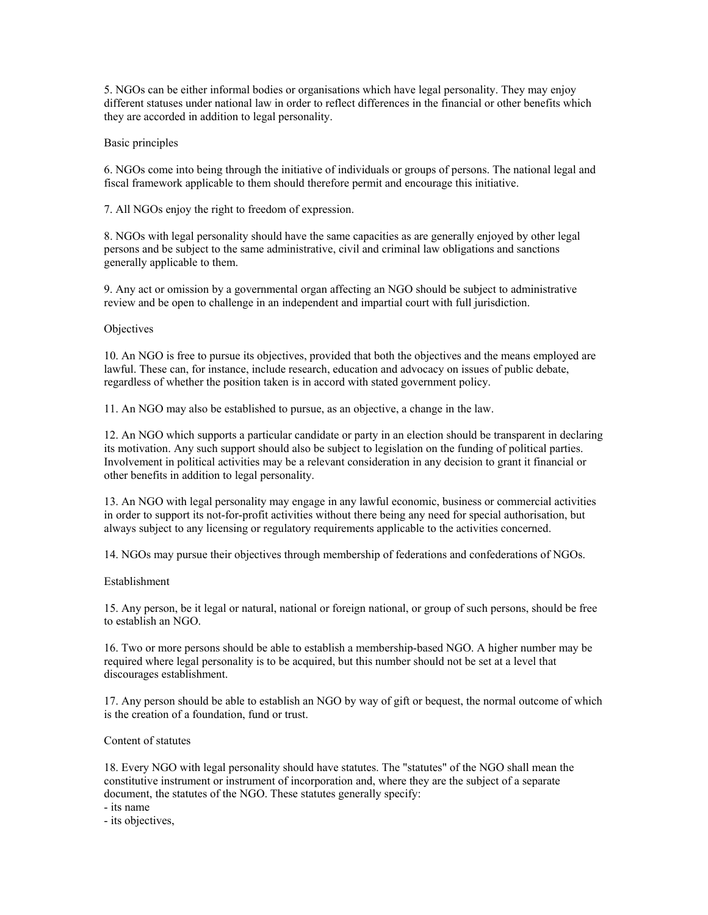5. NGOs can be either informal bodies or organisations which have legal personality. They may enjoy different statuses under national law in order to reflect differences in the financial or other benefits which they are accorded in addition to legal personality.

## Basic principles

6. NGOs come into being through the initiative of individuals or groups of persons. The national legal and fiscal framework applicable to them should therefore permit and encourage this initiative.

7. All NGOs enjoy the right to freedom of expression.

8. NGOs with legal personality should have the same capacities as are generally enjoyed by other legal persons and be subject to the same administrative, civil and criminal law obligations and sanctions generally applicable to them.

9. Any act or omission by a governmental organ affecting an NGO should be subject to administrative review and be open to challenge in an independent and impartial court with full jurisdiction.

## **Objectives**

10. An NGO is free to pursue its objectives, provided that both the objectives and the means employed are lawful. These can, for instance, include research, education and advocacy on issues of public debate, regardless of whether the position taken is in accord with stated government policy.

11. An NGO may also be established to pursue, as an objective, a change in the law.

12. An NGO which supports a particular candidate or party in an election should be transparent in declaring its motivation. Any such support should also be subject to legislation on the funding of political parties. Involvement in political activities may be a relevant consideration in any decision to grant it financial or other benefits in addition to legal personality.

13. An NGO with legal personality may engage in any lawful economic, business or commercial activities in order to support its not-for-profit activities without there being any need for special authorisation, but always subject to any licensing or regulatory requirements applicable to the activities concerned.

14. NGOs may pursue their objectives through membership of federations and confederations of NGOs.

## Establishment

15. Any person, be it legal or natural, national or foreign national, or group of such persons, should be free to establish an NGO.

16. Two or more persons should be able to establish a membership-based NGO. A higher number may be required where legal personality is to be acquired, but this number should not be set at a level that discourages establishment.

17. Any person should be able to establish an NGO by way of gift or bequest, the normal outcome of which is the creation of a foundation, fund or trust.

## Content of statutes

18. Every NGO with legal personality should have statutes. The "statutes" of the NGO shall mean the constitutive instrument or instrument of incorporation and, where they are the subject of a separate document, the statutes of the NGO. These statutes generally specify:

- its name

- its objectives,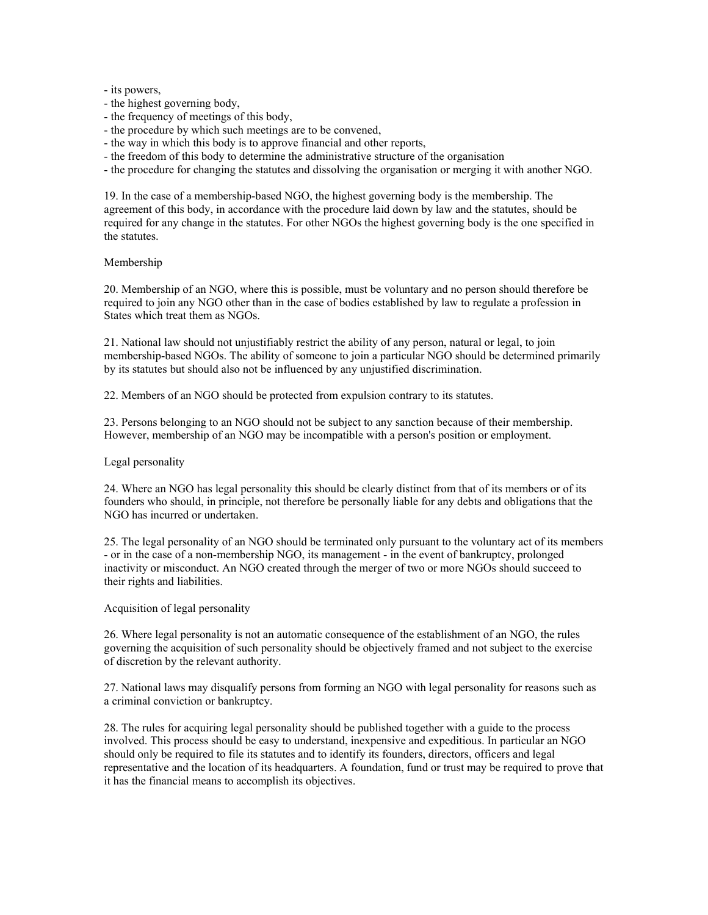## - its powers,

- the highest governing body,
- the frequency of meetings of this body,
- the procedure by which such meetings are to be convened,
- the way in which this body is to approve financial and other reports,
- the freedom of this body to determine the administrative structure of the organisation
- the procedure for changing the statutes and dissolving the organisation or merging it with another NGO.

19. In the case of a membership-based NGO, the highest governing body is the membership. The agreement of this body, in accordance with the procedure laid down by law and the statutes, should be required for any change in the statutes. For other NGOs the highest governing body is the one specified in the statutes.

## Membership

20. Membership of an NGO, where this is possible, must be voluntary and no person should therefore be required to join any NGO other than in the case of bodies established by law to regulate a profession in States which treat them as NGOs.

21. National law should not unjustifiably restrict the ability of any person, natural or legal, to join membership-based NGOs. The ability of someone to join a particular NGO should be determined primarily by its statutes but should also not be influenced by any unjustified discrimination.

22. Members of an NGO should be protected from expulsion contrary to its statutes.

23. Persons belonging to an NGO should not be subject to any sanction because of their membership. However, membership of an NGO may be incompatible with a person's position or employment.

## Legal personality

24. Where an NGO has legal personality this should be clearly distinct from that of its members or of its founders who should, in principle, not therefore be personally liable for any debts and obligations that the NGO has incurred or undertaken.

25. The legal personality of an NGO should be terminated only pursuant to the voluntary act of its members - or in the case of a non-membership NGO, its management - in the event of bankruptcy, prolonged inactivity or misconduct. An NGO created through the merger of two or more NGOs should succeed to their rights and liabilities.

## Acquisition of legal personality

26. Where legal personality is not an automatic consequence of the establishment of an NGO, the rules governing the acquisition of such personality should be objectively framed and not subject to the exercise of discretion by the relevant authority.

27. National laws may disqualify persons from forming an NGO with legal personality for reasons such as a criminal conviction or bankruptcy.

28. The rules for acquiring legal personality should be published together with a guide to the process involved. This process should be easy to understand, inexpensive and expeditious. In particular an NGO should only be required to file its statutes and to identify its founders, directors, officers and legal representative and the location of its headquarters. A foundation, fund or trust may be required to prove that it has the financial means to accomplish its objectives.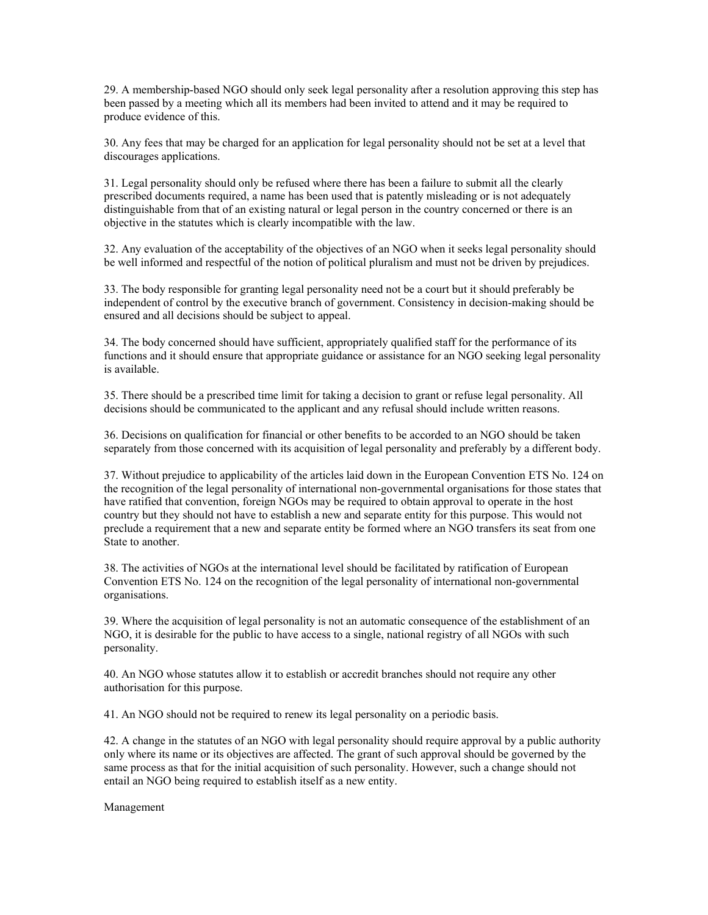29. A membership-based NGO should only seek legal personality after a resolution approving this step has been passed by a meeting which all its members had been invited to attend and it may be required to produce evidence of this.

30. Any fees that may be charged for an application for legal personality should not be set at a level that discourages applications.

31. Legal personality should only be refused where there has been a failure to submit all the clearly prescribed documents required, a name has been used that is patently misleading or is not adequately distinguishable from that of an existing natural or legal person in the country concerned or there is an objective in the statutes which is clearly incompatible with the law.

32. Any evaluation of the acceptability of the objectives of an NGO when it seeks legal personality should be well informed and respectful of the notion of political pluralism and must not be driven by prejudices.

33. The body responsible for granting legal personality need not be a court but it should preferably be independent of control by the executive branch of government. Consistency in decision-making should be ensured and all decisions should be subject to appeal.

34. The body concerned should have sufficient, appropriately qualified staff for the performance of its functions and it should ensure that appropriate guidance or assistance for an NGO seeking legal personality is available.

35. There should be a prescribed time limit for taking a decision to grant or refuse legal personality. All decisions should be communicated to the applicant and any refusal should include written reasons.

36. Decisions on qualification for financial or other benefits to be accorded to an NGO should be taken separately from those concerned with its acquisition of legal personality and preferably by a different body.

37. Without prejudice to applicability of the articles laid down in the European Convention ETS No. 124 on the recognition of the legal personality of international non-governmental organisations for those states that have ratified that convention, foreign NGOs may be required to obtain approval to operate in the host country but they should not have to establish a new and separate entity for this purpose. This would not preclude a requirement that a new and separate entity be formed where an NGO transfers its seat from one State to another.

38. The activities of NGOs at the international level should be facilitated by ratification of European Convention ETS No. 124 on the recognition of the legal personality of international non-governmental organisations.

39. Where the acquisition of legal personality is not an automatic consequence of the establishment of an NGO, it is desirable for the public to have access to a single, national registry of all NGOs with such personality.

40. An NGO whose statutes allow it to establish or accredit branches should not require any other authorisation for this purpose.

41. An NGO should not be required to renew its legal personality on a periodic basis.

42. A change in the statutes of an NGO with legal personality should require approval by a public authority only where its name or its objectives are affected. The grant of such approval should be governed by the same process as that for the initial acquisition of such personality. However, such a change should not entail an NGO being required to establish itself as a new entity.

Management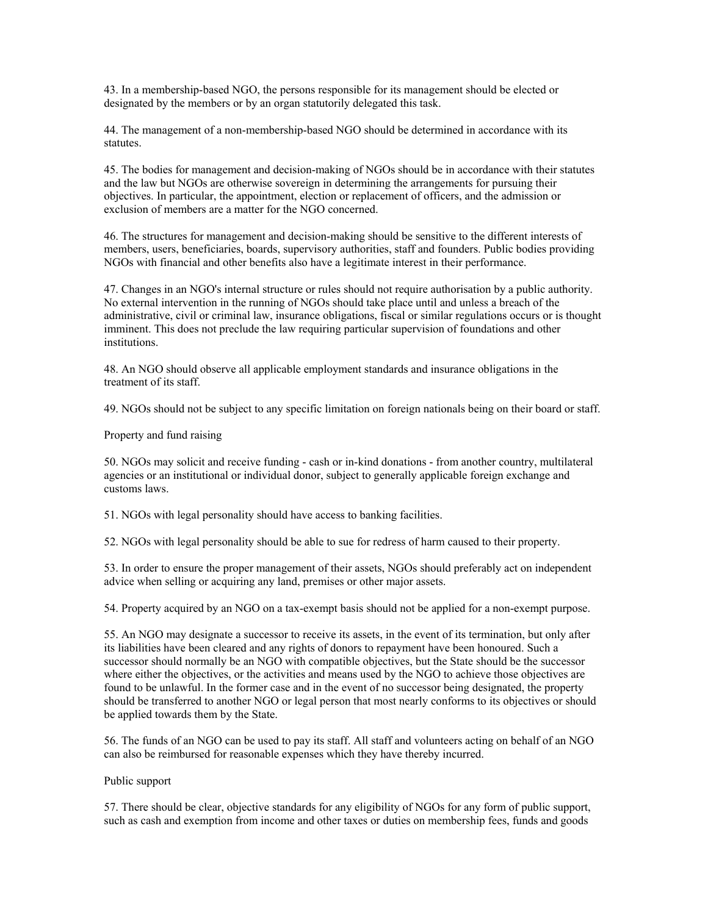43. In a membership-based NGO, the persons responsible for its management should be elected or designated by the members or by an organ statutorily delegated this task.

44. The management of a non-membership-based NGO should be determined in accordance with its statutes.

45. The bodies for management and decision-making of NGOs should be in accordance with their statutes and the law but NGOs are otherwise sovereign in determining the arrangements for pursuing their objectives. In particular, the appointment, election or replacement of officers, and the admission or exclusion of members are a matter for the NGO concerned.

46. The structures for management and decision-making should be sensitive to the different interests of members, users, beneficiaries, boards, supervisory authorities, staff and founders. Public bodies providing NGOs with financial and other benefits also have a legitimate interest in their performance.

47. Changes in an NGO's internal structure or rules should not require authorisation by a public authority. No external intervention in the running of NGOs should take place until and unless a breach of the administrative, civil or criminal law, insurance obligations, fiscal or similar regulations occurs or is thought imminent. This does not preclude the law requiring particular supervision of foundations and other institutions.

48. An NGO should observe all applicable employment standards and insurance obligations in the treatment of its staff.

49. NGOs should not be subject to any specific limitation on foreign nationals being on their board or staff.

Property and fund raising

50. NGOs may solicit and receive funding - cash or in-kind donations - from another country, multilateral agencies or an institutional or individual donor, subject to generally applicable foreign exchange and customs laws.

51. NGOs with legal personality should have access to banking facilities.

52. NGOs with legal personality should be able to sue for redress of harm caused to their property.

53. In order to ensure the proper management of their assets, NGOs should preferably act on independent advice when selling or acquiring any land, premises or other major assets.

54. Property acquired by an NGO on a tax-exempt basis should not be applied for a non-exempt purpose.

55. An NGO may designate a successor to receive its assets, in the event of its termination, but only after its liabilities have been cleared and any rights of donors to repayment have been honoured. Such a successor should normally be an NGO with compatible objectives, but the State should be the successor where either the objectives, or the activities and means used by the NGO to achieve those objectives are found to be unlawful. In the former case and in the event of no successor being designated, the property should be transferred to another NGO or legal person that most nearly conforms to its objectives or should be applied towards them by the State.

56. The funds of an NGO can be used to pay its staff. All staff and volunteers acting on behalf of an NGO can also be reimbursed for reasonable expenses which they have thereby incurred.

## Public support

57. There should be clear, objective standards for any eligibility of NGOs for any form of public support, such as cash and exemption from income and other taxes or duties on membership fees, funds and goods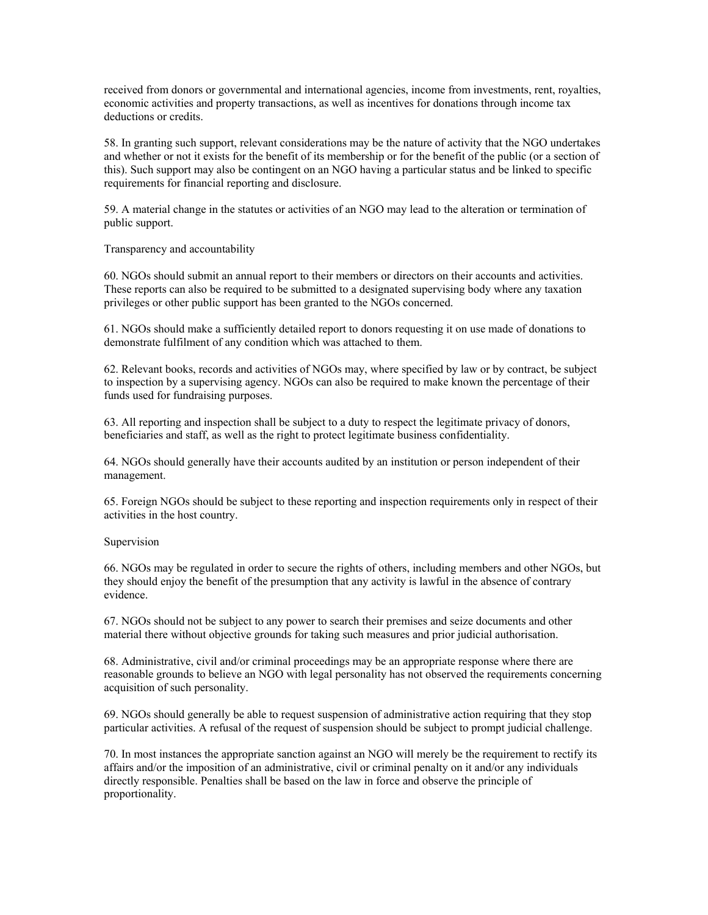received from donors or governmental and international agencies, income from investments, rent, royalties, economic activities and property transactions, as well as incentives for donations through income tax deductions or credits.

58. In granting such support, relevant considerations may be the nature of activity that the NGO undertakes and whether or not it exists for the benefit of its membership or for the benefit of the public (or a section of this). Such support may also be contingent on an NGO having a particular status and be linked to specific requirements for financial reporting and disclosure.

59. A material change in the statutes or activities of an NGO may lead to the alteration or termination of public support.

Transparency and accountability

60. NGOs should submit an annual report to their members or directors on their accounts and activities. These reports can also be required to be submitted to a designated supervising body where any taxation privileges or other public support has been granted to the NGOs concerned.

61. NGOs should make a sufficiently detailed report to donors requesting it on use made of donations to demonstrate fulfilment of any condition which was attached to them.

62. Relevant books, records and activities of NGOs may, where specified by law or by contract, be subject to inspection by a supervising agency. NGOs can also be required to make known the percentage of their funds used for fundraising purposes.

63. All reporting and inspection shall be subject to a duty to respect the legitimate privacy of donors, beneficiaries and staff, as well as the right to protect legitimate business confidentiality.

64. NGOs should generally have their accounts audited by an institution or person independent of their management.

65. Foreign NGOs should be subject to these reporting and inspection requirements only in respect of their activities in the host country.

#### Supervision

66. NGOs may be regulated in order to secure the rights of others, including members and other NGOs, but they should enjoy the benefit of the presumption that any activity is lawful in the absence of contrary evidence.

67. NGOs should not be subject to any power to search their premises and seize documents and other material there without objective grounds for taking such measures and prior judicial authorisation.

68. Administrative, civil and/or criminal proceedings may be an appropriate response where there are reasonable grounds to believe an NGO with legal personality has not observed the requirements concerning acquisition of such personality.

69. NGOs should generally be able to request suspension of administrative action requiring that they stop particular activities. A refusal of the request of suspension should be subject to prompt judicial challenge.

70. In most instances the appropriate sanction against an NGO will merely be the requirement to rectify its affairs and/or the imposition of an administrative, civil or criminal penalty on it and/or any individuals directly responsible. Penalties shall be based on the law in force and observe the principle of proportionality.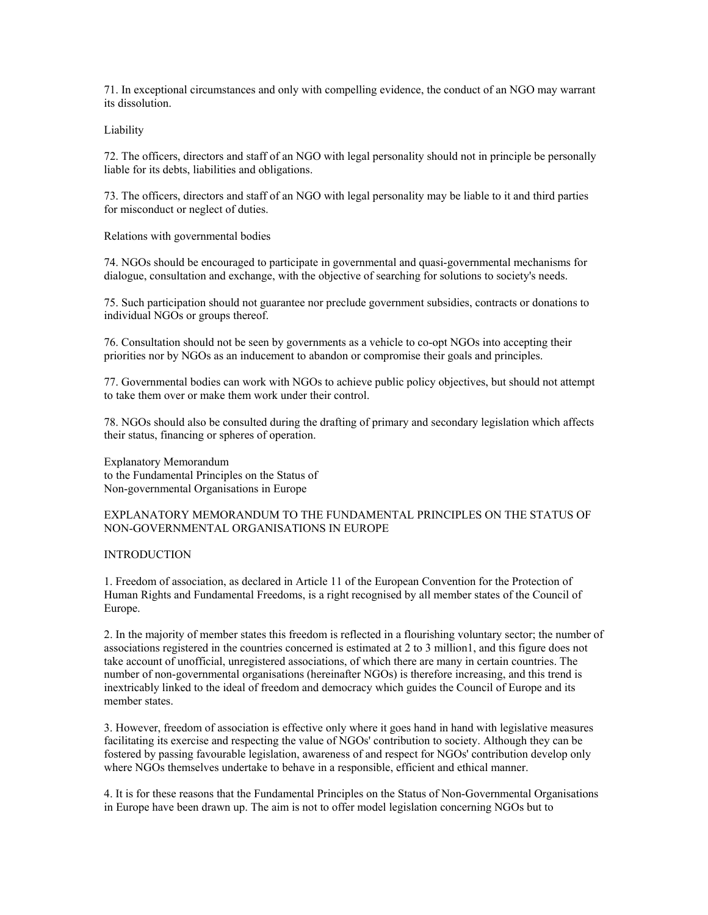71. In exceptional circumstances and only with compelling evidence, the conduct of an NGO may warrant its dissolution.

Liability

72. The officers, directors and staff of an NGO with legal personality should not in principle be personally liable for its debts, liabilities and obligations.

73. The officers, directors and staff of an NGO with legal personality may be liable to it and third parties for misconduct or neglect of duties.

Relations with governmental bodies

74. NGOs should be encouraged to participate in governmental and quasi-governmental mechanisms for dialogue, consultation and exchange, with the objective of searching for solutions to society's needs.

75. Such participation should not guarantee nor preclude government subsidies, contracts or donations to individual NGOs or groups thereof.

76. Consultation should not be seen by governments as a vehicle to co-opt NGOs into accepting their priorities nor by NGOs as an inducement to abandon or compromise their goals and principles.

77. Governmental bodies can work with NGOs to achieve public policy objectives, but should not attempt to take them over or make them work under their control.

78. NGOs should also be consulted during the drafting of primary and secondary legislation which affects their status, financing or spheres of operation.

Explanatory Memorandum to the Fundamental Principles on the Status of Non-governmental Organisations in Europe

## EXPLANATORY MEMORANDUM TO THE FUNDAMENTAL PRINCIPLES ON THE STATUS OF NON-GOVERNMENTAL ORGANISATIONS IN EUROPE

## **INTRODUCTION**

1. Freedom of association, as declared in Article 11 of the European Convention for the Protection of Human Rights and Fundamental Freedoms, is a right recognised by all member states of the Council of Europe.

2. In the majority of member states this freedom is reflected in a flourishing voluntary sector; the number of associations registered in the countries concerned is estimated at 2 to 3 million1, and this figure does not take account of unofficial, unregistered associations, of which there are many in certain countries. The number of non-governmental organisations (hereinafter NGOs) is therefore increasing, and this trend is inextricably linked to the ideal of freedom and democracy which guides the Council of Europe and its member states.

3. However, freedom of association is effective only where it goes hand in hand with legislative measures facilitating its exercise and respecting the value of NGOs' contribution to society. Although they can be fostered by passing favourable legislation, awareness of and respect for NGOs' contribution develop only where NGOs themselves undertake to behave in a responsible, efficient and ethical manner.

4. It is for these reasons that the Fundamental Principles on the Status of Non-Governmental Organisations in Europe have been drawn up. The aim is not to offer model legislation concerning NGOs but to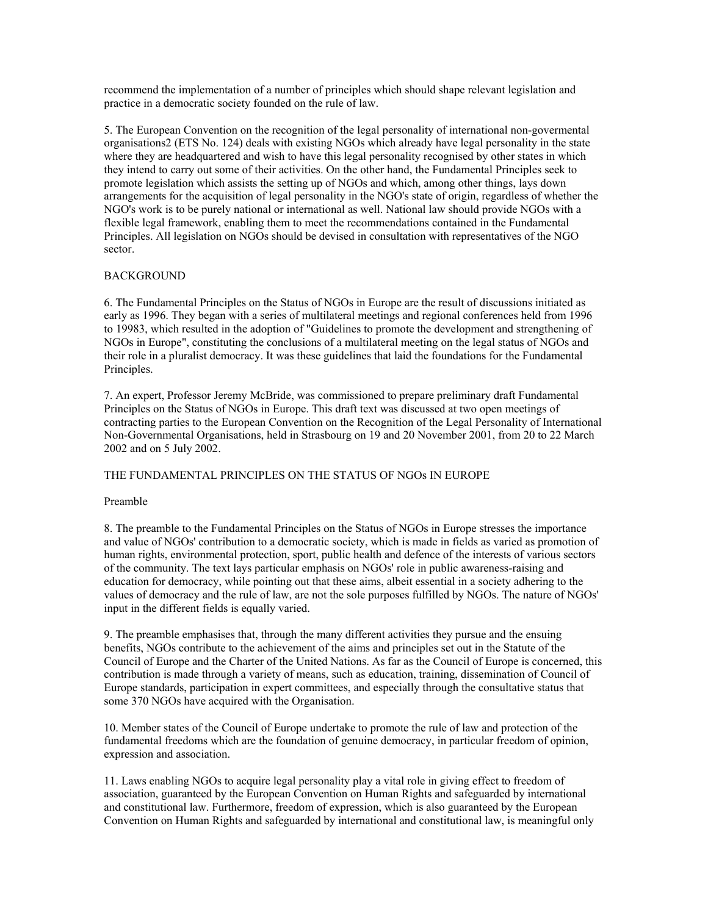recommend the implementation of a number of principles which should shape relevant legislation and practice in a democratic society founded on the rule of law.

5. The European Convention on the recognition of the legal personality of international non-govermental organisations2 (ETS No. 124) deals with existing NGOs which already have legal personality in the state where they are headquartered and wish to have this legal personality recognised by other states in which they intend to carry out some of their activities. On the other hand, the Fundamental Principles seek to promote legislation which assists the setting up of NGOs and which, among other things, lays down arrangements for the acquisition of legal personality in the NGO's state of origin, regardless of whether the NGO's work is to be purely national or international as well. National law should provide NGOs with a flexible legal framework, enabling them to meet the recommendations contained in the Fundamental Principles. All legislation on NGOs should be devised in consultation with representatives of the NGO sector.

## BACKGROUND

6. The Fundamental Principles on the Status of NGOs in Europe are the result of discussions initiated as early as 1996. They began with a series of multilateral meetings and regional conferences held from 1996 to 19983, which resulted in the adoption of "Guidelines to promote the development and strengthening of NGOs in Europe", constituting the conclusions of a multilateral meeting on the legal status of NGOs and their role in a pluralist democracy. It was these guidelines that laid the foundations for the Fundamental Principles.

7. An expert, Professor Jeremy McBride, was commissioned to prepare preliminary draft Fundamental Principles on the Status of NGOs in Europe. This draft text was discussed at two open meetings of contracting parties to the European Convention on the Recognition of the Legal Personality of International Non-Governmental Organisations, held in Strasbourg on 19 and 20 November 2001, from 20 to 22 March 2002 and on 5 July 2002.

## THE FUNDAMENTAL PRINCIPLES ON THE STATUS OF NGOs IN EUROPE

## Preamble

8. The preamble to the Fundamental Principles on the Status of NGOs in Europe stresses the importance and value of NGOs' contribution to a democratic society, which is made in fields as varied as promotion of human rights, environmental protection, sport, public health and defence of the interests of various sectors of the community. The text lays particular emphasis on NGOs' role in public awareness-raising and education for democracy, while pointing out that these aims, albeit essential in a society adhering to the values of democracy and the rule of law, are not the sole purposes fulfilled by NGOs. The nature of NGOs' input in the different fields is equally varied.

9. The preamble emphasises that, through the many different activities they pursue and the ensuing benefits, NGOs contribute to the achievement of the aims and principles set out in the Statute of the Council of Europe and the Charter of the United Nations. As far as the Council of Europe is concerned, this contribution is made through a variety of means, such as education, training, dissemination of Council of Europe standards, participation in expert committees, and especially through the consultative status that some 370 NGOs have acquired with the Organisation.

10. Member states of the Council of Europe undertake to promote the rule of law and protection of the fundamental freedoms which are the foundation of genuine democracy, in particular freedom of opinion, expression and association.

11. Laws enabling NGOs to acquire legal personality play a vital role in giving effect to freedom of association, guaranteed by the European Convention on Human Rights and safeguarded by international and constitutional law. Furthermore, freedom of expression, which is also guaranteed by the European Convention on Human Rights and safeguarded by international and constitutional law, is meaningful only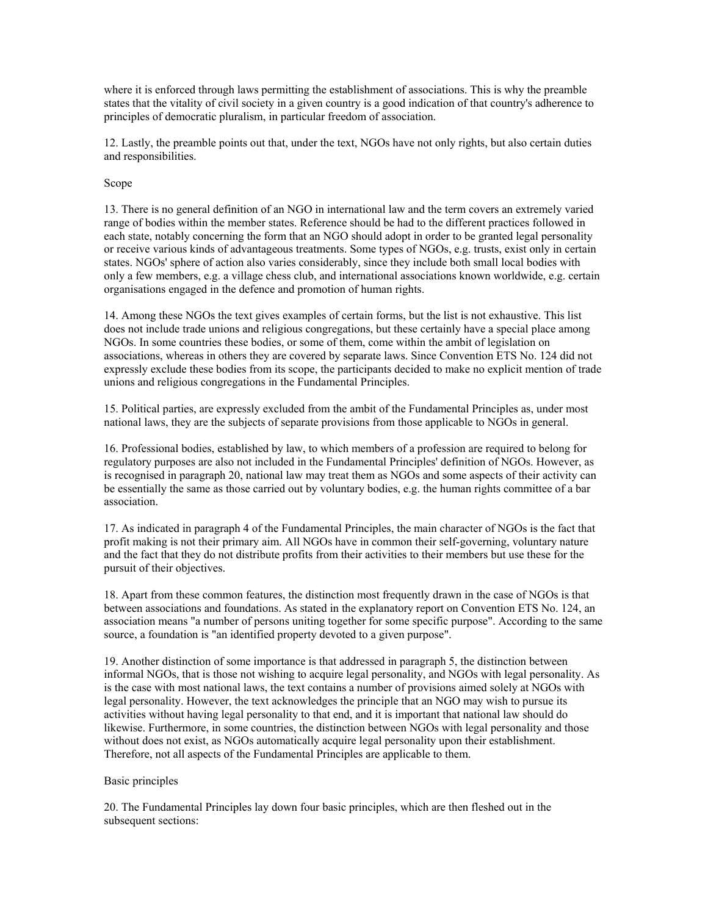where it is enforced through laws permitting the establishment of associations. This is why the preamble states that the vitality of civil society in a given country is a good indication of that country's adherence to principles of democratic pluralism, in particular freedom of association.

12. Lastly, the preamble points out that, under the text, NGOs have not only rights, but also certain duties and responsibilities.

## Scope

13. There is no general definition of an NGO in international law and the term covers an extremely varied range of bodies within the member states. Reference should be had to the different practices followed in each state, notably concerning the form that an NGO should adopt in order to be granted legal personality or receive various kinds of advantageous treatments. Some types of NGOs, e.g. trusts, exist only in certain states. NGOs' sphere of action also varies considerably, since they include both small local bodies with only a few members, e.g. a village chess club, and international associations known worldwide, e.g. certain organisations engaged in the defence and promotion of human rights.

14. Among these NGOs the text gives examples of certain forms, but the list is not exhaustive. This list does not include trade unions and religious congregations, but these certainly have a special place among NGOs. In some countries these bodies, or some of them, come within the ambit of legislation on associations, whereas in others they are covered by separate laws. Since Convention ETS No. 124 did not expressly exclude these bodies from its scope, the participants decided to make no explicit mention of trade unions and religious congregations in the Fundamental Principles.

15. Political parties, are expressly excluded from the ambit of the Fundamental Principles as, under most national laws, they are the subjects of separate provisions from those applicable to NGOs in general.

16. Professional bodies, established by law, to which members of a profession are required to belong for regulatory purposes are also not included in the Fundamental Principles' definition of NGOs. However, as is recognised in paragraph 20, national law may treat them as NGOs and some aspects of their activity can be essentially the same as those carried out by voluntary bodies, e.g. the human rights committee of a bar association.

17. As indicated in paragraph 4 of the Fundamental Principles, the main character of NGOs is the fact that profit making is not their primary aim. All NGOs have in common their self-governing, voluntary nature and the fact that they do not distribute profits from their activities to their members but use these for the pursuit of their objectives.

18. Apart from these common features, the distinction most frequently drawn in the case of NGOs is that between associations and foundations. As stated in the explanatory report on Convention ETS No. 124, an association means "a number of persons uniting together for some specific purpose". According to the same source, a foundation is "an identified property devoted to a given purpose".

19. Another distinction of some importance is that addressed in paragraph 5, the distinction between informal NGOs, that is those not wishing to acquire legal personality, and NGOs with legal personality. As is the case with most national laws, the text contains a number of provisions aimed solely at NGOs with legal personality. However, the text acknowledges the principle that an NGO may wish to pursue its activities without having legal personality to that end, and it is important that national law should do likewise. Furthermore, in some countries, the distinction between NGOs with legal personality and those without does not exist, as NGOs automatically acquire legal personality upon their establishment. Therefore, not all aspects of the Fundamental Principles are applicable to them.

## Basic principles

20. The Fundamental Principles lay down four basic principles, which are then fleshed out in the subsequent sections: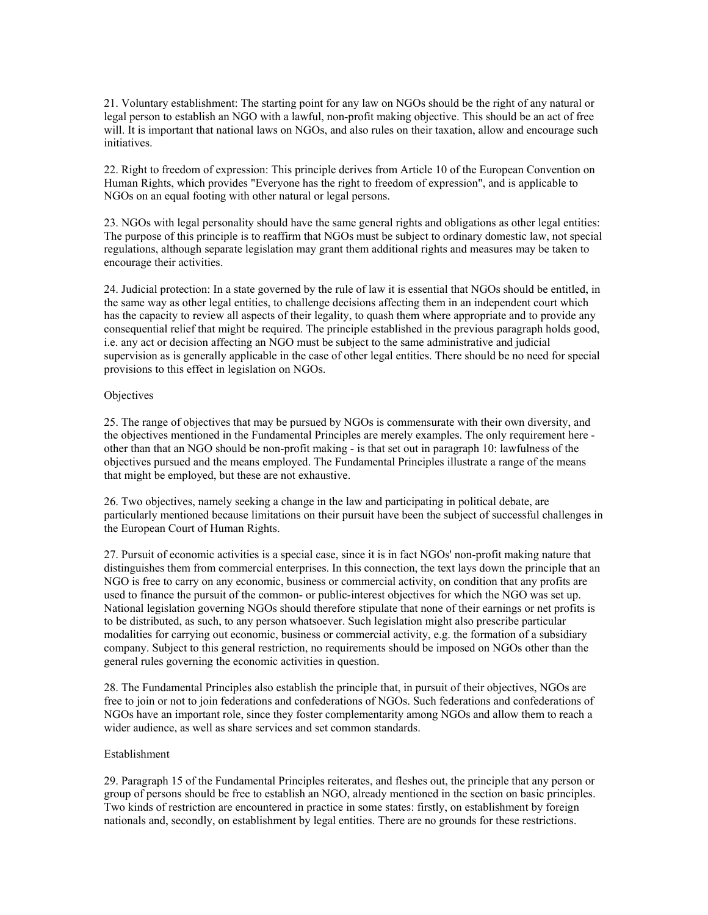21. Voluntary establishment: The starting point for any law on NGOs should be the right of any natural or legal person to establish an NGO with a lawful, non-profit making objective. This should be an act of free will. It is important that national laws on NGOs, and also rules on their taxation, allow and encourage such initiatives.

22. Right to freedom of expression: This principle derives from Article 10 of the European Convention on Human Rights, which provides "Everyone has the right to freedom of expression", and is applicable to NGOs on an equal footing with other natural or legal persons.

23. NGOs with legal personality should have the same general rights and obligations as other legal entities: The purpose of this principle is to reaffirm that NGOs must be subject to ordinary domestic law, not special regulations, although separate legislation may grant them additional rights and measures may be taken to encourage their activities.

24. Judicial protection: In a state governed by the rule of law it is essential that NGOs should be entitled, in the same way as other legal entities, to challenge decisions affecting them in an independent court which has the capacity to review all aspects of their legality, to quash them where appropriate and to provide any consequential relief that might be required. The principle established in the previous paragraph holds good, i.e. any act or decision affecting an NGO must be subject to the same administrative and judicial supervision as is generally applicable in the case of other legal entities. There should be no need for special provisions to this effect in legislation on NGOs.

## **Objectives**

25. The range of objectives that may be pursued by NGOs is commensurate with their own diversity, and the objectives mentioned in the Fundamental Principles are merely examples. The only requirement here other than that an NGO should be non-profit making - is that set out in paragraph 10: lawfulness of the objectives pursued and the means employed. The Fundamental Principles illustrate a range of the means that might be employed, but these are not exhaustive.

26. Two objectives, namely seeking a change in the law and participating in political debate, are particularly mentioned because limitations on their pursuit have been the subject of successful challenges in the European Court of Human Rights.

27. Pursuit of economic activities is a special case, since it is in fact NGOs' non-profit making nature that distinguishes them from commercial enterprises. In this connection, the text lays down the principle that an NGO is free to carry on any economic, business or commercial activity, on condition that any profits are used to finance the pursuit of the common- or public-interest objectives for which the NGO was set up. National legislation governing NGOs should therefore stipulate that none of their earnings or net profits is to be distributed, as such, to any person whatsoever. Such legislation might also prescribe particular modalities for carrying out economic, business or commercial activity, e.g. the formation of a subsidiary company. Subject to this general restriction, no requirements should be imposed on NGOs other than the general rules governing the economic activities in question.

28. The Fundamental Principles also establish the principle that, in pursuit of their objectives, NGOs are free to join or not to join federations and confederations of NGOs. Such federations and confederations of NGOs have an important role, since they foster complementarity among NGOs and allow them to reach a wider audience, as well as share services and set common standards.

# Establishment

29. Paragraph 15 of the Fundamental Principles reiterates, and fleshes out, the principle that any person or group of persons should be free to establish an NGO, already mentioned in the section on basic principles. Two kinds of restriction are encountered in practice in some states: firstly, on establishment by foreign nationals and, secondly, on establishment by legal entities. There are no grounds for these restrictions.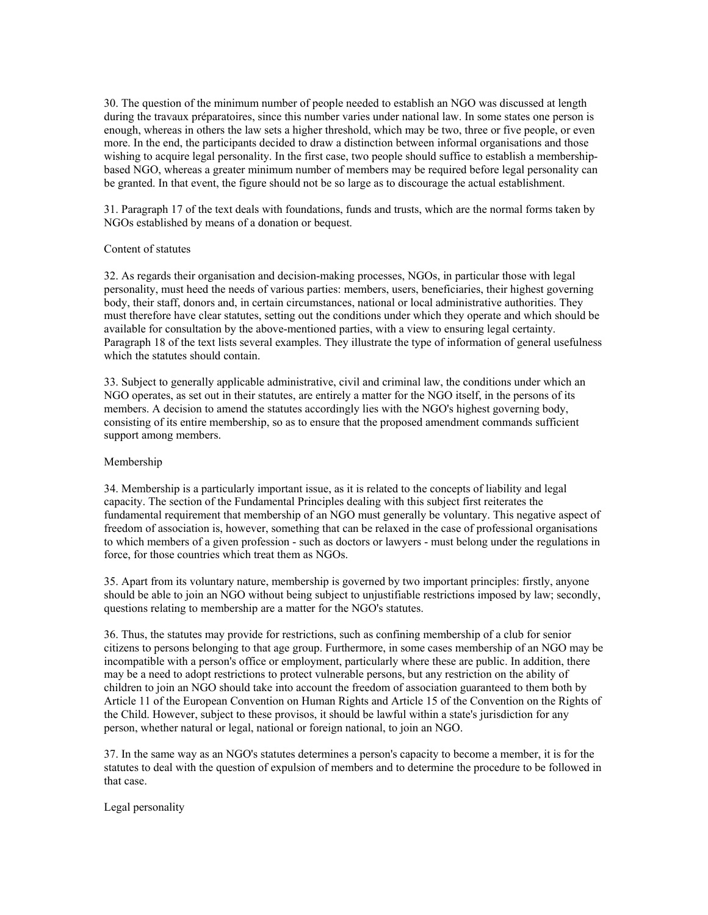30. The question of the minimum number of people needed to establish an NGO was discussed at length during the travaux préparatoires, since this number varies under national law. In some states one person is enough, whereas in others the law sets a higher threshold, which may be two, three or five people, or even more. In the end, the participants decided to draw a distinction between informal organisations and those wishing to acquire legal personality. In the first case, two people should suffice to establish a membershipbased NGO, whereas a greater minimum number of members may be required before legal personality can be granted. In that event, the figure should not be so large as to discourage the actual establishment.

31. Paragraph 17 of the text deals with foundations, funds and trusts, which are the normal forms taken by NGOs established by means of a donation or bequest.

#### Content of statutes

32. As regards their organisation and decision-making processes, NGOs, in particular those with legal personality, must heed the needs of various parties: members, users, beneficiaries, their highest governing body, their staff, donors and, in certain circumstances, national or local administrative authorities. They must therefore have clear statutes, setting out the conditions under which they operate and which should be available for consultation by the above-mentioned parties, with a view to ensuring legal certainty. Paragraph 18 of the text lists several examples. They illustrate the type of information of general usefulness which the statutes should contain.

33. Subject to generally applicable administrative, civil and criminal law, the conditions under which an NGO operates, as set out in their statutes, are entirely a matter for the NGO itself, in the persons of its members. A decision to amend the statutes accordingly lies with the NGO's highest governing body, consisting of its entire membership, so as to ensure that the proposed amendment commands sufficient support among members.

#### Membership

34. Membership is a particularly important issue, as it is related to the concepts of liability and legal capacity. The section of the Fundamental Principles dealing with this subject first reiterates the fundamental requirement that membership of an NGO must generally be voluntary. This negative aspect of freedom of association is, however, something that can be relaxed in the case of professional organisations to which members of a given profession - such as doctors or lawyers - must belong under the regulations in force, for those countries which treat them as NGOs.

35. Apart from its voluntary nature, membership is governed by two important principles: firstly, anyone should be able to join an NGO without being subject to unjustifiable restrictions imposed by law; secondly, questions relating to membership are a matter for the NGO's statutes.

36. Thus, the statutes may provide for restrictions, such as confining membership of a club for senior citizens to persons belonging to that age group. Furthermore, in some cases membership of an NGO may be incompatible with a person's office or employment, particularly where these are public. In addition, there may be a need to adopt restrictions to protect vulnerable persons, but any restriction on the ability of children to join an NGO should take into account the freedom of association guaranteed to them both by Article 11 of the European Convention on Human Rights and Article 15 of the Convention on the Rights of the Child. However, subject to these provisos, it should be lawful within a state's jurisdiction for any person, whether natural or legal, national or foreign national, to join an NGO.

37. In the same way as an NGO's statutes determines a person's capacity to become a member, it is for the statutes to deal with the question of expulsion of members and to determine the procedure to be followed in that case.

Legal personality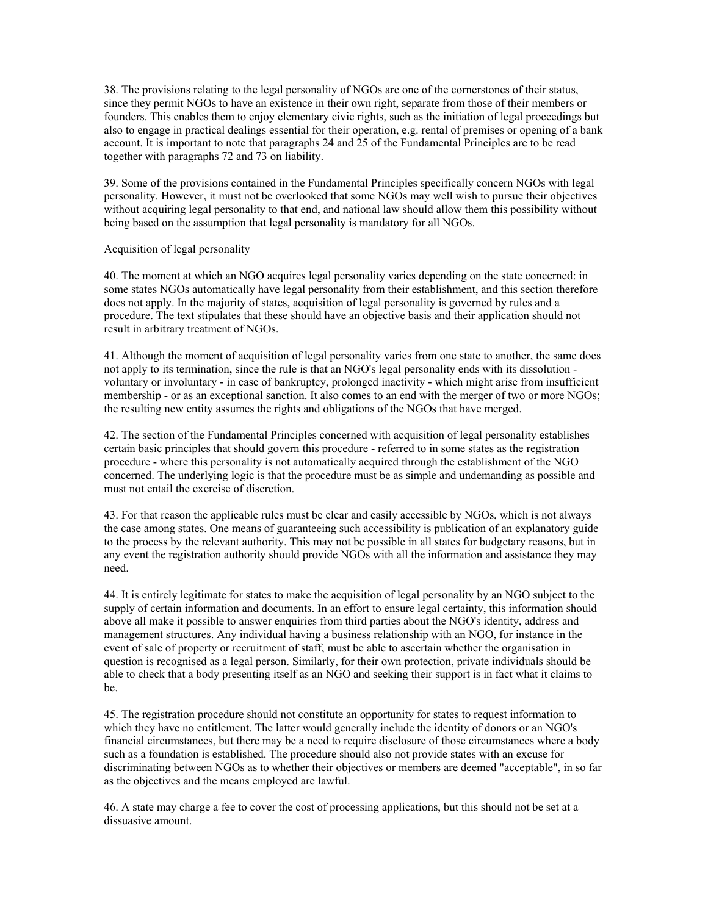38. The provisions relating to the legal personality of NGOs are one of the cornerstones of their status, since they permit NGOs to have an existence in their own right, separate from those of their members or founders. This enables them to enjoy elementary civic rights, such as the initiation of legal proceedings but also to engage in practical dealings essential for their operation, e.g. rental of premises or opening of a bank account. It is important to note that paragraphs 24 and 25 of the Fundamental Principles are to be read together with paragraphs 72 and 73 on liability.

39. Some of the provisions contained in the Fundamental Principles specifically concern NGOs with legal personality. However, it must not be overlooked that some NGOs may well wish to pursue their objectives without acquiring legal personality to that end, and national law should allow them this possibility without being based on the assumption that legal personality is mandatory for all NGOs.

## Acquisition of legal personality

40. The moment at which an NGO acquires legal personality varies depending on the state concerned: in some states NGOs automatically have legal personality from their establishment, and this section therefore does not apply. In the majority of states, acquisition of legal personality is governed by rules and a procedure. The text stipulates that these should have an objective basis and their application should not result in arbitrary treatment of NGOs.

41. Although the moment of acquisition of legal personality varies from one state to another, the same does not apply to its termination, since the rule is that an NGO's legal personality ends with its dissolution voluntary or involuntary - in case of bankruptcy, prolonged inactivity - which might arise from insufficient membership - or as an exceptional sanction. It also comes to an end with the merger of two or more NGOs; the resulting new entity assumes the rights and obligations of the NGOs that have merged.

42. The section of the Fundamental Principles concerned with acquisition of legal personality establishes certain basic principles that should govern this procedure - referred to in some states as the registration procedure - where this personality is not automatically acquired through the establishment of the NGO concerned. The underlying logic is that the procedure must be as simple and undemanding as possible and must not entail the exercise of discretion.

43. For that reason the applicable rules must be clear and easily accessible by NGOs, which is not always the case among states. One means of guaranteeing such accessibility is publication of an explanatory guide to the process by the relevant authority. This may not be possible in all states for budgetary reasons, but in any event the registration authority should provide NGOs with all the information and assistance they may need.

44. It is entirely legitimate for states to make the acquisition of legal personality by an NGO subject to the supply of certain information and documents. In an effort to ensure legal certainty, this information should above all make it possible to answer enquiries from third parties about the NGO's identity, address and management structures. Any individual having a business relationship with an NGO, for instance in the event of sale of property or recruitment of staff, must be able to ascertain whether the organisation in question is recognised as a legal person. Similarly, for their own protection, private individuals should be able to check that a body presenting itself as an NGO and seeking their support is in fact what it claims to be.

45. The registration procedure should not constitute an opportunity for states to request information to which they have no entitlement. The latter would generally include the identity of donors or an NGO's financial circumstances, but there may be a need to require disclosure of those circumstances where a body such as a foundation is established. The procedure should also not provide states with an excuse for discriminating between NGOs as to whether their objectives or members are deemed "acceptable", in so far as the objectives and the means employed are lawful.

46. A state may charge a fee to cover the cost of processing applications, but this should not be set at a dissuasive amount.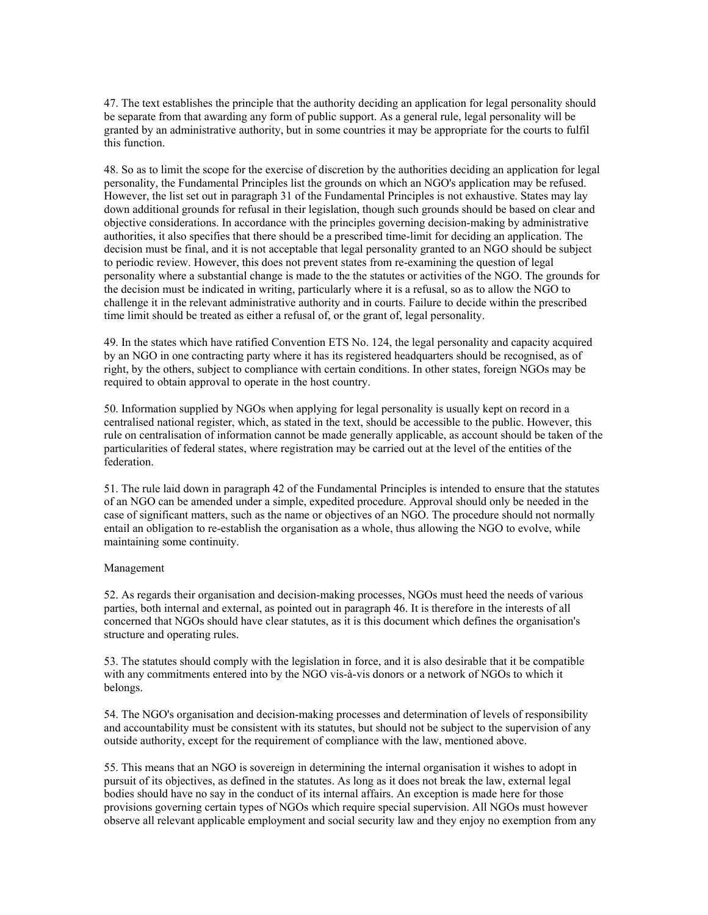47. The text establishes the principle that the authority deciding an application for legal personality should be separate from that awarding any form of public support. As a general rule, legal personality will be granted by an administrative authority, but in some countries it may be appropriate for the courts to fulfil this function.

48. So as to limit the scope for the exercise of discretion by the authorities deciding an application for legal personality, the Fundamental Principles list the grounds on which an NGO's application may be refused. However, the list set out in paragraph 31 of the Fundamental Principles is not exhaustive. States may lay down additional grounds for refusal in their legislation, though such grounds should be based on clear and objective considerations. In accordance with the principles governing decision-making by administrative authorities, it also specifies that there should be a prescribed time-limit for deciding an application. The decision must be final, and it is not acceptable that legal personality granted to an NGO should be subject to periodic review. However, this does not prevent states from re-examining the question of legal personality where a substantial change is made to the the statutes or activities of the NGO. The grounds for the decision must be indicated in writing, particularly where it is a refusal, so as to allow the NGO to challenge it in the relevant administrative authority and in courts. Failure to decide within the prescribed time limit should be treated as either a refusal of, or the grant of, legal personality.

49. In the states which have ratified Convention ETS No. 124, the legal personality and capacity acquired by an NGO in one contracting party where it has its registered headquarters should be recognised, as of right, by the others, subject to compliance with certain conditions. In other states, foreign NGOs may be required to obtain approval to operate in the host country.

50. Information supplied by NGOs when applying for legal personality is usually kept on record in a centralised national register, which, as stated in the text, should be accessible to the public. However, this rule on centralisation of information cannot be made generally applicable, as account should be taken of the particularities of federal states, where registration may be carried out at the level of the entities of the federation.

51. The rule laid down in paragraph 42 of the Fundamental Principles is intended to ensure that the statutes of an NGO can be amended under a simple, expedited procedure. Approval should only be needed in the case of significant matters, such as the name or objectives of an NGO. The procedure should not normally entail an obligation to re-establish the organisation as a whole, thus allowing the NGO to evolve, while maintaining some continuity.

#### Management

52. As regards their organisation and decision-making processes, NGOs must heed the needs of various parties, both internal and external, as pointed out in paragraph 46. It is therefore in the interests of all concerned that NGOs should have clear statutes, as it is this document which defines the organisation's structure and operating rules.

53. The statutes should comply with the legislation in force, and it is also desirable that it be compatible with any commitments entered into by the NGO vis-à-vis donors or a network of NGOs to which it belongs.

54. The NGO's organisation and decision-making processes and determination of levels of responsibility and accountability must be consistent with its statutes, but should not be subject to the supervision of any outside authority, except for the requirement of compliance with the law, mentioned above.

55. This means that an NGO is sovereign in determining the internal organisation it wishes to adopt in pursuit of its objectives, as defined in the statutes. As long as it does not break the law, external legal bodies should have no say in the conduct of its internal affairs. An exception is made here for those provisions governing certain types of NGOs which require special supervision. All NGOs must however observe all relevant applicable employment and social security law and they enjoy no exemption from any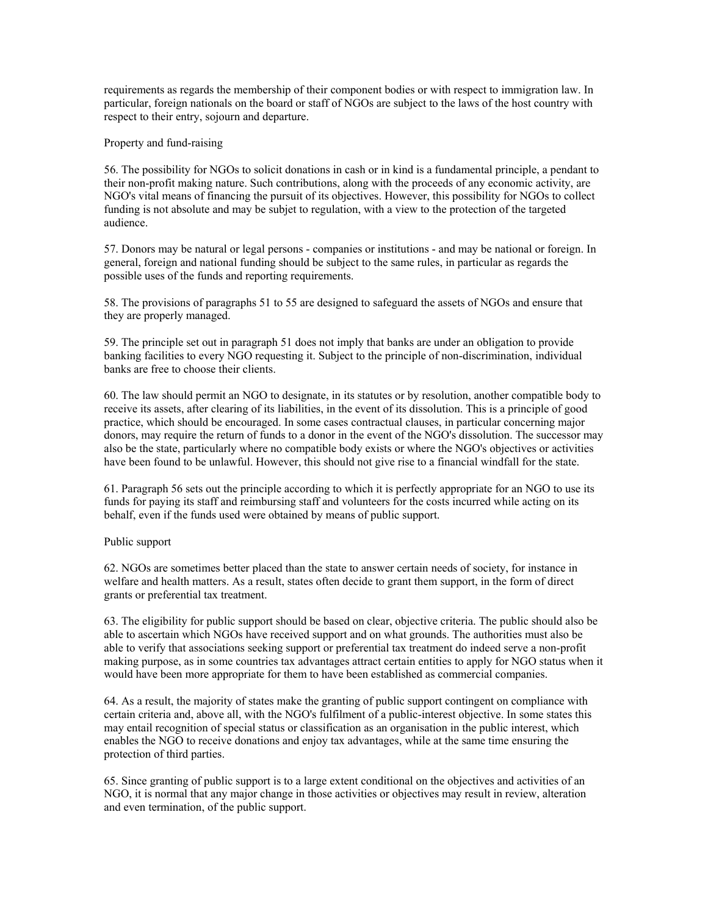requirements as regards the membership of their component bodies or with respect to immigration law. In particular, foreign nationals on the board or staff of NGOs are subject to the laws of the host country with respect to their entry, sojourn and departure.

Property and fund-raising

56. The possibility for NGOs to solicit donations in cash or in kind is a fundamental principle, a pendant to their non-profit making nature. Such contributions, along with the proceeds of any economic activity, are NGO's vital means of financing the pursuit of its objectives. However, this possibility for NGOs to collect funding is not absolute and may be subjet to regulation, with a view to the protection of the targeted audience.

57. Donors may be natural or legal persons - companies or institutions - and may be national or foreign. In general, foreign and national funding should be subject to the same rules, in particular as regards the possible uses of the funds and reporting requirements.

58. The provisions of paragraphs 51 to 55 are designed to safeguard the assets of NGOs and ensure that they are properly managed.

59. The principle set out in paragraph 51 does not imply that banks are under an obligation to provide banking facilities to every NGO requesting it. Subject to the principle of non-discrimination, individual banks are free to choose their clients.

60. The law should permit an NGO to designate, in its statutes or by resolution, another compatible body to receive its assets, after clearing of its liabilities, in the event of its dissolution. This is a principle of good practice, which should be encouraged. In some cases contractual clauses, in particular concerning major donors, may require the return of funds to a donor in the event of the NGO's dissolution. The successor may also be the state, particularly where no compatible body exists or where the NGO's objectives or activities have been found to be unlawful. However, this should not give rise to a financial windfall for the state.

61. Paragraph 56 sets out the principle according to which it is perfectly appropriate for an NGO to use its funds for paying its staff and reimbursing staff and volunteers for the costs incurred while acting on its behalf, even if the funds used were obtained by means of public support.

Public support

62. NGOs are sometimes better placed than the state to answer certain needs of society, for instance in welfare and health matters. As a result, states often decide to grant them support, in the form of direct grants or preferential tax treatment.

63. The eligibility for public support should be based on clear, objective criteria. The public should also be able to ascertain which NGOs have received support and on what grounds. The authorities must also be able to verify that associations seeking support or preferential tax treatment do indeed serve a non-profit making purpose, as in some countries tax advantages attract certain entities to apply for NGO status when it would have been more appropriate for them to have been established as commercial companies.

64. As a result, the majority of states make the granting of public support contingent on compliance with certain criteria and, above all, with the NGO's fulfilment of a public-interest objective. In some states this may entail recognition of special status or classification as an organisation in the public interest, which enables the NGO to receive donations and enjoy tax advantages, while at the same time ensuring the protection of third parties.

65. Since granting of public support is to a large extent conditional on the objectives and activities of an NGO, it is normal that any major change in those activities or objectives may result in review, alteration and even termination, of the public support.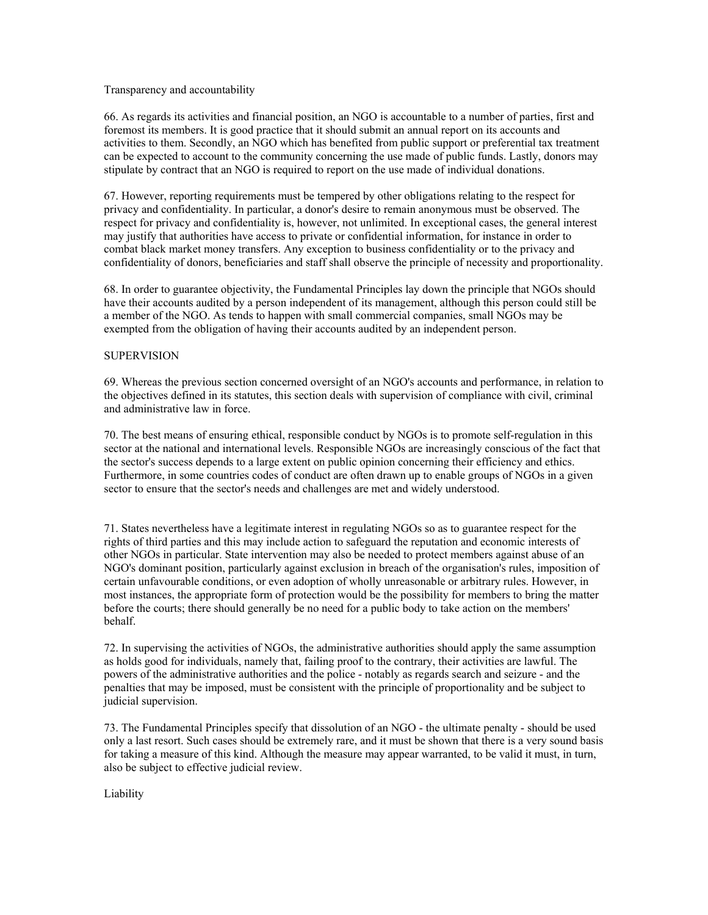## Transparency and accountability

66. As regards its activities and financial position, an NGO is accountable to a number of parties, first and foremost its members. It is good practice that it should submit an annual report on its accounts and activities to them. Secondly, an NGO which has benefited from public support or preferential tax treatment can be expected to account to the community concerning the use made of public funds. Lastly, donors may stipulate by contract that an NGO is required to report on the use made of individual donations.

67. However, reporting requirements must be tempered by other obligations relating to the respect for privacy and confidentiality. In particular, a donor's desire to remain anonymous must be observed. The respect for privacy and confidentiality is, however, not unlimited. In exceptional cases, the general interest may justify that authorities have access to private or confidential information, for instance in order to combat black market money transfers. Any exception to business confidentiality or to the privacy and confidentiality of donors, beneficiaries and staff shall observe the principle of necessity and proportionality.

68. In order to guarantee objectivity, the Fundamental Principles lay down the principle that NGOs should have their accounts audited by a person independent of its management, although this person could still be a member of the NGO. As tends to happen with small commercial companies, small NGOs may be exempted from the obligation of having their accounts audited by an independent person.

## **SUPERVISION**

69. Whereas the previous section concerned oversight of an NGO's accounts and performance, in relation to the objectives defined in its statutes, this section deals with supervision of compliance with civil, criminal and administrative law in force.

70. The best means of ensuring ethical, responsible conduct by NGOs is to promote self-regulation in this sector at the national and international levels. Responsible NGOs are increasingly conscious of the fact that the sector's success depends to a large extent on public opinion concerning their efficiency and ethics. Furthermore, in some countries codes of conduct are often drawn up to enable groups of NGOs in a given sector to ensure that the sector's needs and challenges are met and widely understood.

71. States nevertheless have a legitimate interest in regulating NGOs so as to guarantee respect for the rights of third parties and this may include action to safeguard the reputation and economic interests of other NGOs in particular. State intervention may also be needed to protect members against abuse of an NGO's dominant position, particularly against exclusion in breach of the organisation's rules, imposition of certain unfavourable conditions, or even adoption of wholly unreasonable or arbitrary rules. However, in most instances, the appropriate form of protection would be the possibility for members to bring the matter before the courts; there should generally be no need for a public body to take action on the members' behalf.

72. In supervising the activities of NGOs, the administrative authorities should apply the same assumption as holds good for individuals, namely that, failing proof to the contrary, their activities are lawful. The powers of the administrative authorities and the police - notably as regards search and seizure - and the penalties that may be imposed, must be consistent with the principle of proportionality and be subject to judicial supervision.

73. The Fundamental Principles specify that dissolution of an NGO - the ultimate penalty - should be used only a last resort. Such cases should be extremely rare, and it must be shown that there is a very sound basis for taking a measure of this kind. Although the measure may appear warranted, to be valid it must, in turn, also be subject to effective judicial review.

Liability